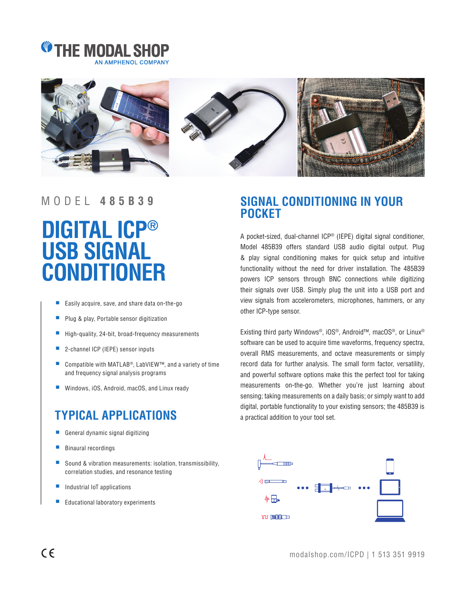



### MODEL **485B39**

# **DIGITAL ICP® USB SIGNAL CONDITIONER**

- Easily acquire, save, and share data on-the-go
- Plug & play, Portable sensor digitization
- High-quality, 24-bit, broad-frequency measurements
- 2-channel ICP (IEPE) sensor inputs
- Compatible with MATLAB<sup>®</sup>, LabVIEW™, and a variety of time and frequency signal analysis programs
- Windows, iOS, Android, macOS, and Linux ready

## **TYPICAL APPLICATIONS**

- General dynamic signal digitizing
- Binaural recordings
- Sound & vibration measurements: isolation, transmissibility, correlation studies, and resonance testing
- Industrial IoT applications
- Educational laboratory experiments

## **SIGNAL CONDITIONING IN YOUR POCKET**

A pocket-sized, dual-channel ICP® (IEPE) digital signal conditioner, Model 485B39 offers standard USB audio digital output. Plug & play signal conditioning makes for quick setup and intuitive functionality without the need for driver installation. The 485B39 powers ICP sensors through BNC connections while digitizing their signals over USB. Simply plug the unit into a USB port and view signals from accelerometers, microphones, hammers, or any other ICP-type sensor.

Existing third party Windows®, iOS®, Android™, macOS®, or Linux® software can be used to acquire time waveforms, frequency spectra, overall RMS measurements, and octave measurements or simply record data for further analysis. The small form factor, versatility, and powerful software options make this the perfect tool for taking measurements on-the-go. Whether you're just learning about sensing; taking measurements on a daily basis; or simply want to add digital, portable functionality to your existing sensors; the 485B39 is a practical addition to your tool set.